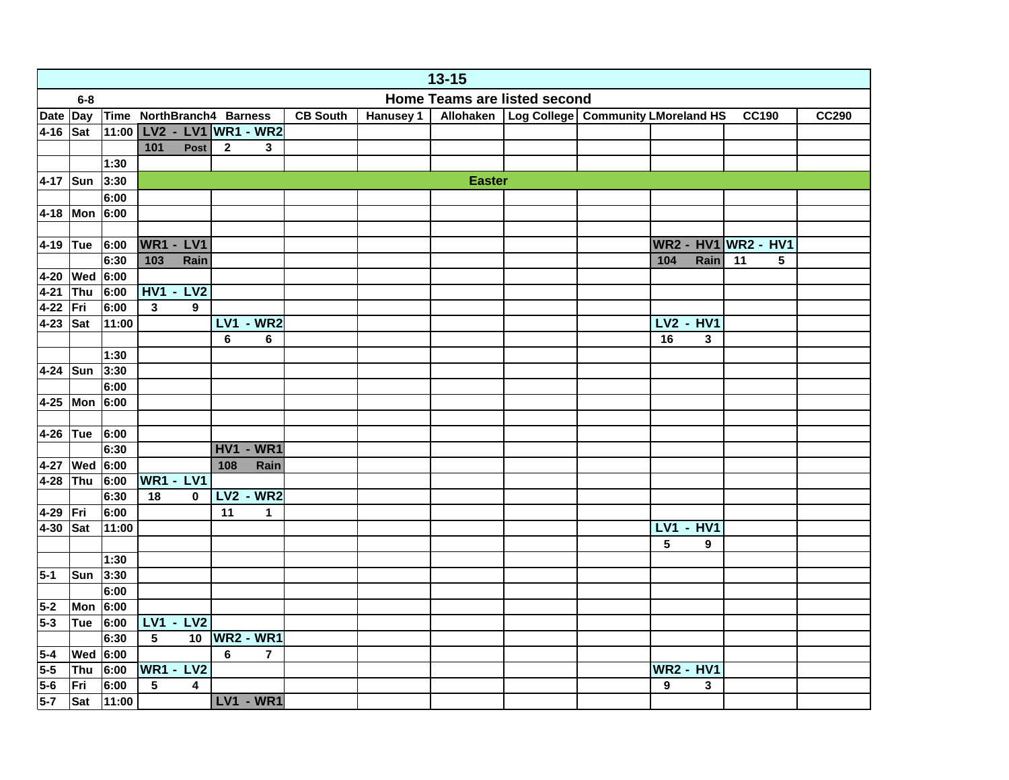|                  | $13 - 15$                                      |              |                                            |                        |              |                 |           |               |                                                  |  |                  |              |                  |   |              |
|------------------|------------------------------------------------|--------------|--------------------------------------------|------------------------|--------------|-----------------|-----------|---------------|--------------------------------------------------|--|------------------|--------------|------------------|---|--------------|
|                  | <b>Home Teams are listed second</b><br>$6 - 8$ |              |                                            |                        |              |                 |           |               |                                                  |  |                  |              |                  |   |              |
| Date Day         |                                                |              | Time NorthBranch4 Barness                  |                        |              | <b>CB South</b> | Hanusey 1 |               | Allohaken   Log College   Community LMoreland HS |  |                  |              | <b>CC190</b>     |   | <b>CC290</b> |
| 4-16 Sat         |                                                | 11:00        | LV2 - LV1 WR1 - WR2                        |                        |              |                 |           |               |                                                  |  |                  |              |                  |   |              |
|                  |                                                |              | 101<br>Post                                | $\mathbf{2}$           | 3            |                 |           |               |                                                  |  |                  |              |                  |   |              |
|                  |                                                | 1:30         |                                            |                        |              |                 |           |               |                                                  |  |                  |              |                  |   |              |
|                  | 4-17 Sun 3:30                                  |              |                                            |                        |              |                 |           | <b>Easter</b> |                                                  |  |                  |              |                  |   |              |
|                  |                                                | 6:00         |                                            |                        |              |                 |           |               |                                                  |  |                  |              |                  |   |              |
|                  | 4-18 Mon $6:00$                                |              |                                            |                        |              |                 |           |               |                                                  |  |                  |              |                  |   |              |
|                  |                                                |              |                                            |                        |              |                 |           |               |                                                  |  |                  |              |                  |   |              |
| 4-19 Tue         |                                                | 6:00         | <b>WR1 - LV1</b>                           |                        |              |                 |           |               |                                                  |  | <b>WR2 - HV1</b> |              | <b>WR2 - HV1</b> |   |              |
|                  |                                                | 6:30         | 103<br>Rain                                |                        |              |                 |           |               |                                                  |  | 104              | Rain         | 11               | 5 |              |
|                  | 4-20 Wed 6:00                                  |              |                                            |                        |              |                 |           |               |                                                  |  |                  |              |                  |   |              |
| 4-21 Thu         |                                                | 6:00         | <b>HV1 - LV2</b>                           |                        |              |                 |           |               |                                                  |  |                  |              |                  |   |              |
| 4-22 Fri         |                                                | 6:00         | $\overline{\mathbf{3}}$<br>$\bf{9}$        |                        |              |                 |           |               |                                                  |  |                  |              |                  |   |              |
| 4-23 $\vert$ Sat |                                                | 11:00        |                                            | <b>LV1 - WR2</b>       |              |                 |           |               |                                                  |  | <b>LV2 - HV1</b> |              |                  |   |              |
|                  |                                                |              |                                            | 6                      | 6            |                 |           |               |                                                  |  | 16               | $\mathbf{3}$ |                  |   |              |
|                  |                                                | 1:30         |                                            |                        |              |                 |           |               |                                                  |  |                  |              |                  |   |              |
|                  | 4-24 Sun 3:30                                  |              |                                            |                        |              |                 |           |               |                                                  |  |                  |              |                  |   |              |
|                  |                                                | 6:00         |                                            |                        |              |                 |           |               |                                                  |  |                  |              |                  |   |              |
|                  | 4-25 Mon 6:00                                  |              |                                            |                        |              |                 |           |               |                                                  |  |                  |              |                  |   |              |
|                  |                                                |              |                                            |                        |              |                 |           |               |                                                  |  |                  |              |                  |   |              |
| $4-26$ Tue       |                                                | 6:00         |                                            |                        |              |                 |           |               |                                                  |  |                  |              |                  |   |              |
|                  |                                                | 6:30         |                                            | <b>HV1 - WR1</b>       |              |                 |           |               |                                                  |  |                  |              |                  |   |              |
|                  | 4-27 Wed 6:00                                  |              |                                            | 108                    | Rain         |                 |           |               |                                                  |  |                  |              |                  |   |              |
|                  | 4-28 Thu 6:00                                  |              | <b>WR1 - LV1</b><br>18                     |                        |              |                 |           |               |                                                  |  |                  |              |                  |   |              |
| 4-29 Fri         |                                                | 6:30<br>6:00 | $\pmb{0}$                                  | <b>LV2 - WR2</b><br>11 | 1            |                 |           |               |                                                  |  |                  |              |                  |   |              |
| 4-30 Sat         |                                                | 11:00        |                                            |                        |              |                 |           |               |                                                  |  | <b>LV1 - HV1</b> |              |                  |   |              |
|                  |                                                |              |                                            |                        |              |                 |           |               |                                                  |  | 5                | 9            |                  |   |              |
|                  |                                                | 1:30         |                                            |                        |              |                 |           |               |                                                  |  |                  |              |                  |   |              |
| $5-1$            | Sun 3:30                                       |              |                                            |                        |              |                 |           |               |                                                  |  |                  |              |                  |   |              |
|                  |                                                | 6:00         |                                            |                        |              |                 |           |               |                                                  |  |                  |              |                  |   |              |
| $5-2$            | Mon $6:00$                                     |              |                                            |                        |              |                 |           |               |                                                  |  |                  |              |                  |   |              |
| $5-3$            | Tue                                            | 6:00         | <b>LV1 - LV2</b>                           |                        |              |                 |           |               |                                                  |  |                  |              |                  |   |              |
|                  |                                                | 6:30         | $5\phantom{a}$<br>10                       | <b>WR2 - WR1</b>       |              |                 |           |               |                                                  |  |                  |              |                  |   |              |
| $5-4$            | Wed $6:00$                                     |              |                                            | 6                      | $\mathbf{7}$ |                 |           |               |                                                  |  |                  |              |                  |   |              |
| $5-5$            | Thu                                            | 6:00         | <b>WR1 - LV2</b>                           |                        |              |                 |           |               |                                                  |  | <b>WR2 - HV1</b> |              |                  |   |              |
| $5-6$            | Fri                                            | 6:00         | $5\phantom{.0}$<br>$\overline{\mathbf{4}}$ |                        |              |                 |           |               |                                                  |  | 9                | 3            |                  |   |              |
| $5-7$            | <b>Sat</b>                                     | 11:00        |                                            | <b>LV1 - WR1</b>       |              |                 |           |               |                                                  |  |                  |              |                  |   |              |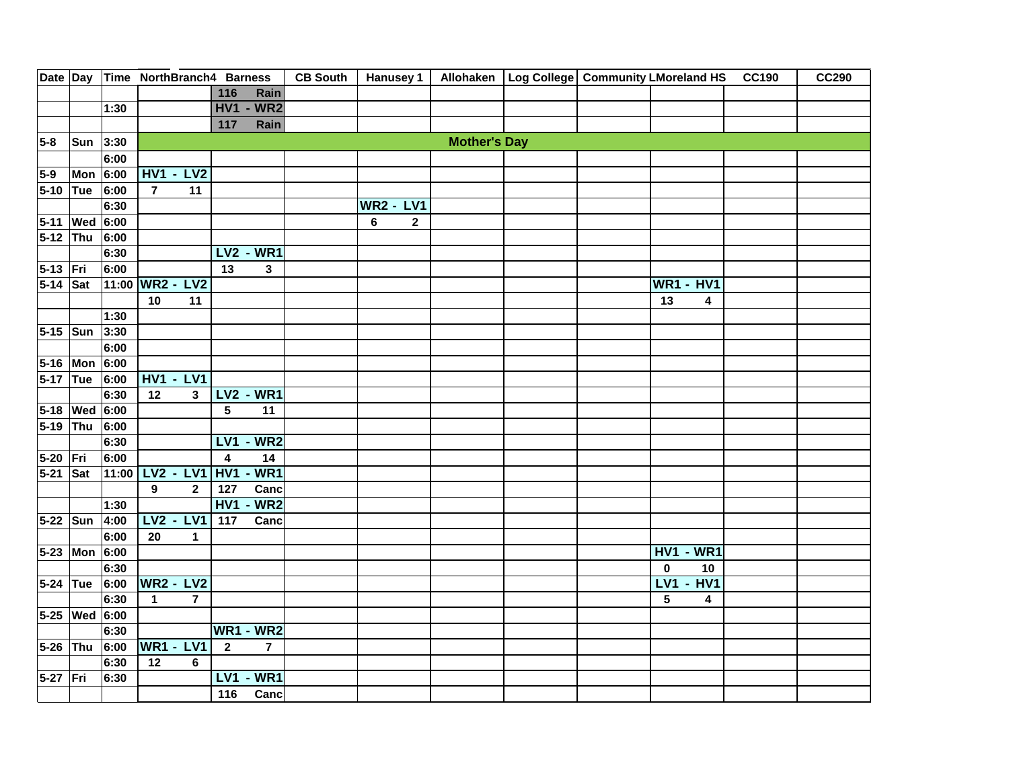|            |               |       | Date Day Time NorthBranch4 Barness |                                  |                                           |                     | CB South   Hanusey 1   Allohaken   Log College   Community LMoreland HS CC190 |                              |  | <b>CC290</b> |
|------------|---------------|-------|------------------------------------|----------------------------------|-------------------------------------------|---------------------|-------------------------------------------------------------------------------|------------------------------|--|--------------|
|            |               |       |                                    | 116<br>Rain                      |                                           |                     |                                                                               |                              |  |              |
|            |               | 1:30  |                                    | <b>HV1 - WR2</b>                 |                                           |                     |                                                                               |                              |  |              |
|            |               |       |                                    | Rain<br>117                      |                                           |                     |                                                                               |                              |  |              |
| $5-8$      | Sun 3:30      |       |                                    |                                  |                                           | <b>Mother's Day</b> |                                                                               |                              |  |              |
|            |               | 6:00  |                                    |                                  |                                           |                     |                                                                               |                              |  |              |
| $5-9$      | Mon $6:00$    |       | <b>HV1 - LV2</b>                   |                                  |                                           |                     |                                                                               |                              |  |              |
| 5-10 Tue   |               | 6:00  | $\overline{7}$<br>11               |                                  |                                           |                     |                                                                               |                              |  |              |
|            |               | 6:30  |                                    |                                  | <b>WR2 - LV1</b>                          |                     |                                                                               |                              |  |              |
|            | 5-11 Wed 6:00 |       |                                    |                                  | $6\phantom{a}$<br>$\overline{\mathbf{2}}$ |                     |                                                                               |                              |  |              |
| 5-12 Thu   |               | 6:00  |                                    |                                  |                                           |                     |                                                                               |                              |  |              |
|            |               | 6:30  |                                    | <b>LV2 - WR1</b>                 |                                           |                     |                                                                               |                              |  |              |
| 5-13 Fri   |               | 6:00  |                                    | 13<br>3                          |                                           |                     |                                                                               |                              |  |              |
| 5-14 Sat   |               |       | 11:00 WR2 - LV2                    |                                  |                                           |                     |                                                                               | <b>WR1 - HV1</b>             |  |              |
|            |               |       | 10<br>11                           |                                  |                                           |                     |                                                                               | 13<br>4                      |  |              |
|            |               | 1:30  |                                    |                                  |                                           |                     |                                                                               |                              |  |              |
| $5-15$ Sun |               | 3:30  |                                    |                                  |                                           |                     |                                                                               |                              |  |              |
|            |               | 6:00  |                                    |                                  |                                           |                     |                                                                               |                              |  |              |
|            | 5-16 Mon 6:00 |       |                                    |                                  |                                           |                     |                                                                               |                              |  |              |
| 5-17 Tue   |               | 6:00  | <b>HV1 - LV1</b>                   |                                  |                                           |                     |                                                                               |                              |  |              |
|            |               | 6:30  | $\overline{12}$<br>3               | <b>LV2 - WR1</b>                 |                                           |                     |                                                                               |                              |  |              |
|            | 5-18 Wed 6:00 |       |                                    | $5\phantom{a}$<br>11             |                                           |                     |                                                                               |                              |  |              |
| 5-19 Thu   |               | 6:00  |                                    |                                  |                                           |                     |                                                                               |                              |  |              |
|            |               | 6:30  |                                    | $-WR2$<br>LV <sub>1</sub>        |                                           |                     |                                                                               |                              |  |              |
| 5-20 Fri   |               | 6:00  |                                    | $\overline{\mathbf{4}}$<br>14    |                                           |                     |                                                                               |                              |  |              |
| 5-21 Sat   |               | 11:00 | LV2 - LV1 HV1                      | $-WR1$                           |                                           |                     |                                                                               |                              |  |              |
|            |               |       | $\overline{9}$<br>$\mathbf{2}$     | Canc<br>127                      |                                           |                     |                                                                               |                              |  |              |
|            |               | 1:30  |                                    | <b>HV1 - WR2</b>                 |                                           |                     |                                                                               |                              |  |              |
| 5-22 Sun   |               | 4:00  | <b>LV2 - LV1</b>                   | 117<br>Canc                      |                                           |                     |                                                                               |                              |  |              |
|            |               | 6:00  | 20<br>1                            |                                  |                                           |                     |                                                                               |                              |  |              |
|            | 5-23 Mon 6:00 |       |                                    |                                  |                                           |                     |                                                                               | <b>HV1 - WR1</b>             |  |              |
|            |               | 6:30  |                                    |                                  |                                           |                     |                                                                               | 10<br>$\bf{0}$               |  |              |
| 5-24 Tue   |               | 6:00  | <b>WR2 - LV2</b>                   |                                  |                                           |                     |                                                                               | <b>LV1 - HV1</b>             |  |              |
|            |               | 6:30  | $\overline{1}$<br>$\overline{7}$   |                                  |                                           |                     |                                                                               | 5<br>$\overline{\mathbf{4}}$ |  |              |
|            | 5-25 Wed 6:00 |       |                                    |                                  |                                           |                     |                                                                               |                              |  |              |
|            |               | 6:30  |                                    | <b>WR1 - WR2</b>                 |                                           |                     |                                                                               |                              |  |              |
| 5-26 Thu   |               | 6:00  | <b>WR1 - LV1</b>                   | $\overline{2}$<br>$\overline{7}$ |                                           |                     |                                                                               |                              |  |              |
|            |               | 6:30  | 12<br>6                            |                                  |                                           |                     |                                                                               |                              |  |              |
| 5-27 Fri   |               | 6:30  |                                    | $-WR1$<br>LVI                    |                                           |                     |                                                                               |                              |  |              |
|            |               |       |                                    | Canc<br>116                      |                                           |                     |                                                                               |                              |  |              |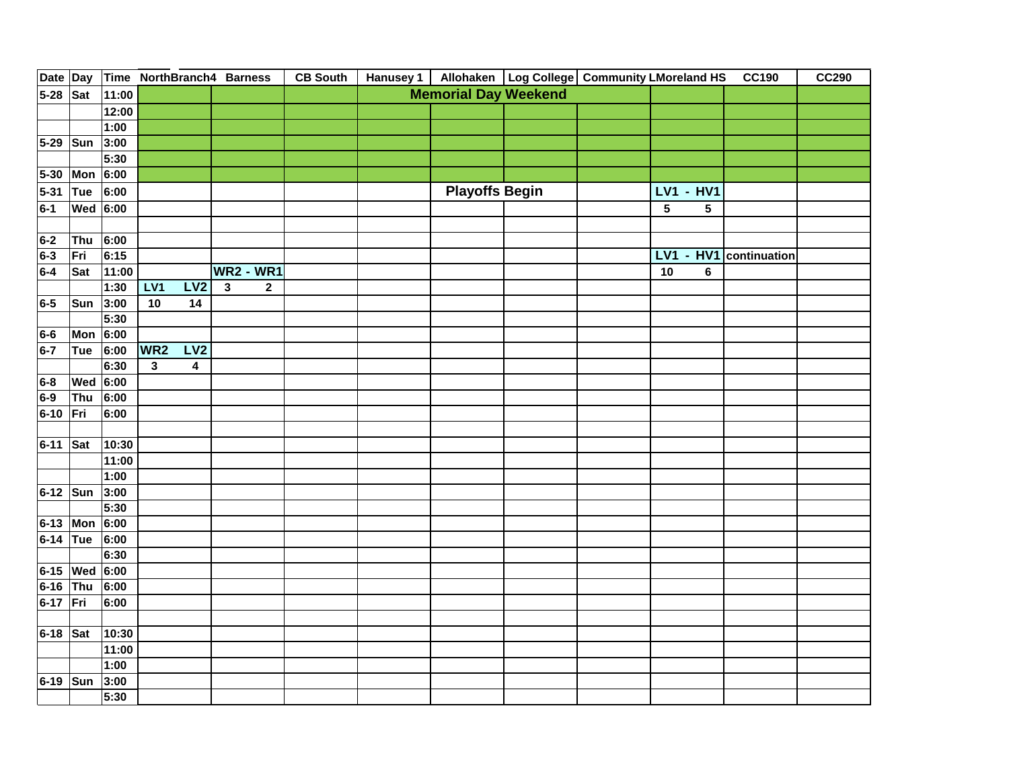| Date Day |                 |       |                 |                         | Time NorthBranch4 Barness   | <b>CB South</b> |                             |                       |  | Hanusey 1   Allohaken   Log College   Community LMoreland HS |     |                  | <b>CC190</b> | <b>CC290</b> |
|----------|-----------------|-------|-----------------|-------------------------|-----------------------------|-----------------|-----------------------------|-----------------------|--|--------------------------------------------------------------|-----|------------------|--------------|--------------|
| 5-28 Sat |                 | 11:00 |                 |                         |                             |                 | <b>Memorial Day Weekend</b> |                       |  |                                                              |     |                  |              |              |
|          |                 | 12:00 |                 |                         |                             |                 |                             |                       |  |                                                              |     |                  |              |              |
|          |                 | 1:00  |                 |                         |                             |                 |                             |                       |  |                                                              |     |                  |              |              |
| 5-29 Sun |                 | 3:00  |                 |                         |                             |                 |                             |                       |  |                                                              |     |                  |              |              |
|          |                 | 5:30  |                 |                         |                             |                 |                             |                       |  |                                                              |     |                  |              |              |
|          | 5-30 Mon 6:00   |       |                 |                         |                             |                 |                             |                       |  |                                                              |     |                  |              |              |
| 5-31 Tue |                 | 6:00  |                 |                         |                             |                 |                             | <b>Playoffs Begin</b> |  |                                                              |     | <b>LV1 - HV1</b> |              |              |
| $6-1$    | <b>Wed</b> 6:00 |       |                 |                         |                             |                 |                             |                       |  |                                                              | 5   | 5                |              |              |
|          |                 |       |                 |                         |                             |                 |                             |                       |  |                                                              |     |                  |              |              |
| $6-2$    | Thu             | 6:00  |                 |                         |                             |                 |                             |                       |  |                                                              |     |                  |              |              |
| 6-3      | Fri             | 6:15  |                 |                         |                             |                 |                             |                       |  |                                                              | LV1 | $- HVI$          | continuation |              |
| $6-4$    | Sat             | 11:00 |                 |                         | <b>WR2 - WR1</b>            |                 |                             |                       |  |                                                              | 10  | $\bf 6$          |              |              |
|          |                 | 1:30  | LV1             | LV2                     | $\mathbf{3}$<br>$\mathbf 2$ |                 |                             |                       |  |                                                              |     |                  |              |              |
| 6-5      | Sun             | 3:00  | $10$            | 14                      |                             |                 |                             |                       |  |                                                              |     |                  |              |              |
|          |                 | 5:30  |                 |                         |                             |                 |                             |                       |  |                                                              |     |                  |              |              |
| 6-6      | Mon 6:00        |       |                 |                         |                             |                 |                             |                       |  |                                                              |     |                  |              |              |
| $6-7$    | Tue             | 6:00  | WR <sub>2</sub> | LV2                     |                             |                 |                             |                       |  |                                                              |     |                  |              |              |
|          |                 | 6:30  | $\mathbf{3}$    | $\overline{\mathbf{4}}$ |                             |                 |                             |                       |  |                                                              |     |                  |              |              |
| 6-8      | Wed             | 6:00  |                 |                         |                             |                 |                             |                       |  |                                                              |     |                  |              |              |
| 6-9      | Thu             | 6:00  |                 |                         |                             |                 |                             |                       |  |                                                              |     |                  |              |              |
| 6-10 Fri |                 | 6:00  |                 |                         |                             |                 |                             |                       |  |                                                              |     |                  |              |              |
|          |                 |       |                 |                         |                             |                 |                             |                       |  |                                                              |     |                  |              |              |
| 6-11 Sat |                 | 10:30 |                 |                         |                             |                 |                             |                       |  |                                                              |     |                  |              |              |
|          |                 | 11:00 |                 |                         |                             |                 |                             |                       |  |                                                              |     |                  |              |              |
|          |                 | 1:00  |                 |                         |                             |                 |                             |                       |  |                                                              |     |                  |              |              |
| 6-12 Sun |                 | 3:00  |                 |                         |                             |                 |                             |                       |  |                                                              |     |                  |              |              |
|          |                 | 5:30  |                 |                         |                             |                 |                             |                       |  |                                                              |     |                  |              |              |
|          | 6-13 Mon 6:00   |       |                 |                         |                             |                 |                             |                       |  |                                                              |     |                  |              |              |
| 6-14 Tue |                 | 6:00  |                 |                         |                             |                 |                             |                       |  |                                                              |     |                  |              |              |
|          |                 | 6:30  |                 |                         |                             |                 |                             |                       |  |                                                              |     |                  |              |              |
|          | 6-15 Wed 6:00   |       |                 |                         |                             |                 |                             |                       |  |                                                              |     |                  |              |              |
| 6-16 Thu |                 | 6:00  |                 |                         |                             |                 |                             |                       |  |                                                              |     |                  |              |              |
| 6-17 Fri |                 | 6:00  |                 |                         |                             |                 |                             |                       |  |                                                              |     |                  |              |              |
|          |                 |       |                 |                         |                             |                 |                             |                       |  |                                                              |     |                  |              |              |
| 6-18 Sat |                 | 10:30 |                 |                         |                             |                 |                             |                       |  |                                                              |     |                  |              |              |
|          |                 | 11:00 |                 |                         |                             |                 |                             |                       |  |                                                              |     |                  |              |              |
|          |                 | 1:00  |                 |                         |                             |                 |                             |                       |  |                                                              |     |                  |              |              |
| 6-19 Sun |                 | 3:00  |                 |                         |                             |                 |                             |                       |  |                                                              |     |                  |              |              |
|          |                 | 5:30  |                 |                         |                             |                 |                             |                       |  |                                                              |     |                  |              |              |